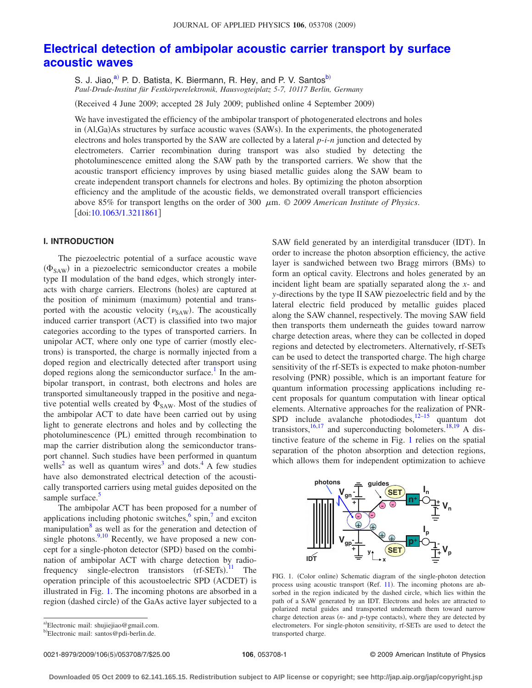# **[Electrical detection of ambipolar acoustic carrier transport by surface](http://dx.doi.org/10.1063/1.3211861) [acoustic waves](http://dx.doi.org/10.1063/1.3211861)**

S. J. Jiao,<sup>a)</sup> P. D. Batista, K. Biermann, R. Hey, and P. V. Santos<sup>b)</sup> *Paul-Drude-Institut für Festkörperelektronik, Hausvogteiplatz 5-7, 10117 Berlin, Germany*

(Received 4 June 2009; accepted 28 July 2009; published online 4 September 2009)

We have investigated the efficiency of the ambipolar transport of photogenerated electrons and holes in (Al,Ga)As structures by surface acoustic waves (SAWs). In the experiments, the photogenerated electrons and holes transported by the SAW are collected by a lateral *p*-*i*-*n* junction and detected by electrometers. Carrier recombination during transport was also studied by detecting the photoluminescence emitted along the SAW path by the transported carriers. We show that the acoustic transport efficiency improves by using biased metallic guides along the SAW beam to create independent transport channels for electrons and holes. By optimizing the photon absorption efficiency and the amplitude of the acoustic fields, we demonstrated overall transport efficiencies above 85% for transport lengths on the order of 300 m. © *2009 American Institute of Physics*.  $\lceil \text{doi:10.1063/1.3211861} \rceil$  $\lceil \text{doi:10.1063/1.3211861} \rceil$  $\lceil \text{doi:10.1063/1.3211861} \rceil$ 

## **I. INTRODUCTION**

The piezoelectric potential of a surface acoustic wave ( $\Phi_{\text{SAW}}$ ) in a piezoelectric semiconductor creates a mobile type II modulation of the band edges, which strongly interacts with charge carriers. Electrons (holes) are captured at the position of minimum (maximum) potential and transported with the acoustic velocity  $(\nu_{SAW})$ . The acoustically induced carrier transport (ACT) is classified into two major categories according to the types of transported carriers. In unipolar ACT, where only one type of carrier (mostly electrons) is transported, the charge is normally injected from a doped region and electrically detected after transport using doped regions along the semiconductor surface.<sup>1</sup> In the ambipolar transport, in contrast, both electrons and holes are transported simultaneously trapped in the positive and negative potential wells created by  $\Phi_{\text{SAW}}$ . Most of the studies of the ambipolar ACT to date have been carried out by using light to generate electrons and holes and by collecting the photoluminescence (PL) emitted through recombination to map the carrier distribution along the semiconductor transport channel. Such studies have been performed in quantum wells<sup>2</sup> as well as quantum wires<sup>3</sup> and dots.<sup>4</sup> A few studies have also demonstrated electrical detection of the acoustically transported carriers using metal guides deposited on the sample surface.<sup>5</sup>

The ambipolar ACT has been proposed for a number of applications including photonic switches, $6$  spin, $7$  and exciton manipulation $8$  as well as for the generation and detection of single photons.  $9,10$  $9,10$  Recently, we have proposed a new concept for a single-photon detector (SPD) based on the combination of ambipolar ACT with charge detection by radiofrequency single-electron transistors  $(rf-SETs).$ <sup>[11](#page-6-10)</sup> The operation principle of this acoustoelectric SPD (ACDET) is illustrated in Fig. [1.](#page-0-2) The incoming photons are absorbed in a region (dashed circle) of the GaAs active layer subjected to a

SAW field generated by an interdigital transducer (IDT). In order to increase the photon absorption efficiency, the active layer is sandwiched between two Bragg mirrors (BMs) to form an optical cavity. Electrons and holes generated by an incident light beam are spatially separated along the *x*- and *y*-directions by the type II SAW piezoelectric field and by the lateral electric field produced by metallic guides placed along the SAW channel, respectively. The moving SAW field then transports them underneath the guides toward narrow charge detection areas, where they can be collected in doped regions and detected by electrometers. Alternatively, rf-SETs can be used to detect the transported charge. The high charge sensitivity of the rf-SETs is expected to make photon-number resolving (PNR) possible, which is an important feature for quantum information processing applications including recent proposals for quantum computation with linear optical elements. Alternative approaches for the realization of PNR-SPD include avalanche photodiodes, $\frac{12-15}{18}$  $\frac{12-15}{18}$  $\frac{12-15}{18}$  quantum dot transistors,<sup>16,[17](#page-6-14)</sup> and superconducting bolometers.<sup>18[,19](#page-6-16)</sup> A distinctive feature of the scheme in Fig. [1](#page-0-2) relies on the spatial separation of the photon absorption and detection regions, which allows them for independent optimization to achieve

<span id="page-0-2"></span>

FIG. 1. (Color online) Schematic diagram of the single-photon detection process using acoustic transport (Ref. [11](#page-6-10)). The incoming photons are absorbed in the region indicated by the dashed circle, which lies within the path of a SAW generated by an IDT. Electrons and holes are attracted to polarized metal guides and transported underneath them toward narrow charge detection areas  $(n-$  and  $p$ -type contacts), where they are detected by electrometers. For single-photon sensitivity, rf-SETs are used to detect the transported charge.

0021-8979/2009/106(5)/053708/7/\$25.00

<span id="page-0-0"></span>a)Electronic mail: shujiejiao@gmail.com.

<span id="page-0-1"></span><sup>&</sup>lt;sup>b)</sup>Electronic mail: santos@pdi-berlin.de.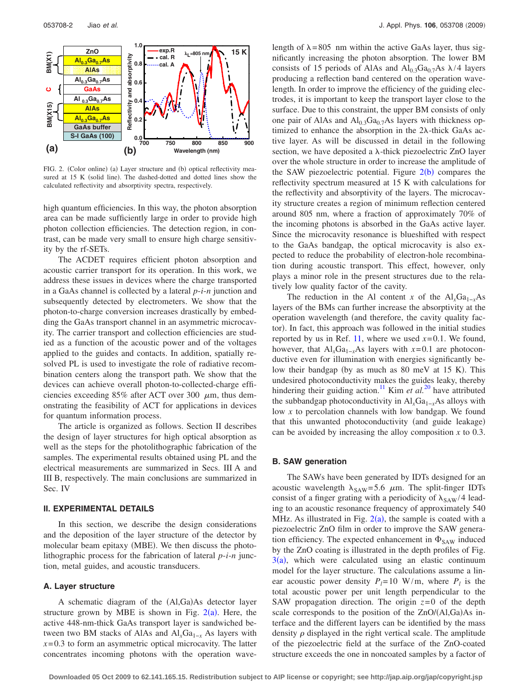<span id="page-1-0"></span>

FIG. 2. (Color online) (a) Layer structure and (b) optical reflectivity measured at 15 K (solid line). The dashed-dotted and dotted lines show the calculated reflectivity and absorptivity spectra, respectively.

high quantum efficiencies. In this way, the photon absorption area can be made sufficiently large in order to provide high photon collection efficiencies. The detection region, in contrast, can be made very small to ensure high charge sensitivity by the rf-SETs.

The ACDET requires efficient photon absorption and acoustic carrier transport for its operation. In this work, we address these issues in devices where the charge transported in a GaAs channel is collected by a lateral *p*-*i*-*n* junction and subsequently detected by electrometers. We show that the photon-to-charge conversion increases drastically by embedding the GaAs transport channel in an asymmetric microcavity. The carrier transport and collection efficiencies are studied as a function of the acoustic power and of the voltages applied to the guides and contacts. In addition, spatially resolved PL is used to investigate the role of radiative recombination centers along the transport path. We show that the devices can achieve overall photon-to-collected-charge efficiencies exceeding 85% after ACT over 300  $\mu$ m, thus demonstrating the feasibility of ACT for applications in devices for quantum information process.

The article is organized as follows. Section II describes the design of layer structures for high optical absorption as well as the steps for the photolithographic fabrication of the samples. The experimental results obtained using PL and the electrical measurements are summarized in Secs. III A and III B, respectively. The main conclusions are summarized in Sec. IV

## **II. EXPERIMENTAL DETAILS**

In this section, we describe the design considerations and the deposition of the layer structure of the detector by molecular beam epitaxy (MBE). We then discuss the photolithographic process for the fabrication of lateral *p*-*i*-*n* junction, metal guides, and acoustic transducers.

### **A. Layer structure**

A schematic diagram of the (Al,Ga)As detector layer structure grown by MBE is shown in Fig.  $2(a)$  $2(a)$ . Here, the active 448-nm-thick GaAs transport layer is sandwiched between two BM stacks of AlAs and  $Al_xGa_{1-x}$  As layers with  $x=0.3$  to form an asymmetric optical microcavity. The latter concentrates incoming photons with the operation wavelength of  $\lambda = 805$  nm within the active GaAs layer, thus significantly increasing the photon absorption. The lower BM consists of 15 periods of AlAs and  $Al<sub>0.3</sub>Ga<sub>0.7</sub>As \lambda/4$  layers producing a reflection band centered on the operation wavelength. In order to improve the efficiency of the guiding electrodes, it is important to keep the transport layer close to the surface. Due to this constraint, the upper BM consists of only one pair of AlAs and  $Al<sub>0.3</sub>Ga<sub>0.7</sub>As layers with thickness op$ timized to enhance the absorption in the  $2\lambda$ -thick GaAs active layer. As will be discussed in detail in the following section, we have deposited a  $\lambda$ -thick piezoelectric ZnO layer over the whole structure in order to increase the amplitude of the SAW piezoelectric potential. Figure  $2(b)$  $2(b)$  compares the reflectivity spectrum measured at 15 K with calculations for the reflectivity and absorptivity of the layers. The microcavity structure creates a region of minimum reflection centered around 805 nm, where a fraction of approximately 70% of the incoming photons is absorbed in the GaAs active layer. Since the microcavity resonance is blueshifted with respect to the GaAs bandgap, the optical microcavity is also expected to reduce the probability of electron-hole recombination during acoustic transport. This effect, however, only plays a minor role in the present structures due to the relatively low quality factor of the cavity.

The reduction in the Al content *x* of the  $Al_xGa_{1-x}As$ layers of the BMs can further increase the absorptivity at the operation wavelength (and therefore, the cavity quality factor). In fact, this approach was followed in the initial studies reported by us in Ref. [11,](#page-6-10) where we used  $x=0.1$ . We found, however, that  $Al_xGa_{1-x}As$  layers with  $x=0.1$  are photoconductive even for illumination with energies significantly below their bandgap (by as much as 80 meV at 15 K). This undesired photoconductivity makes the guides leaky, thereby hindering their guiding action.<sup>11</sup> Kim *et al.*<sup>[20](#page-6-17)</sup> have attributed the subbandgap photoconductivity in Al<sub>*x*</sub>Ga<sub>1−*x*</sub>As alloys with low *x* to percolation channels with low bandgap. We found that this unwanted photoconductivity (and guide leakage) can be avoided by increasing the alloy composition *x* to 0.3.

#### **B. SAW generation**

The SAWs have been generated by IDTs designed for an acoustic wavelength  $\lambda_{SAW} = 5.6 \mu m$ . The split-finger IDTs consist of a finger grating with a periodicity of  $\lambda_{\text{SAW}}/4$  leading to an acoustic resonance frequency of approximately 540 MHz. As illustrated in Fig.  $2(a)$  $2(a)$ , the sample is coated with a piezoelectric ZnO film in order to improve the SAW generation efficiency. The expected enhancement in  $\Phi_{SAW}$  induced by the ZnO coating is illustrated in the depth profiles of Fig.  $3(a)$  $3(a)$ , which were calculated using an elastic continuum model for the layer structure. The calculations assume a linear acoustic power density  $P_l = 10$  W/m, where  $P_l$  is the total acoustic power per unit length perpendicular to the SAW propagation direction. The origin  $z=0$  of the depth scale corresponds to the position of the ZnO/(Al,Ga)As interface and the different layers can be identified by the mass density  $\rho$  displayed in the right vertical scale. The amplitude of the piezoelectric field at the surface of the ZnO-coated structure exceeds the one in noncoated samples by a factor of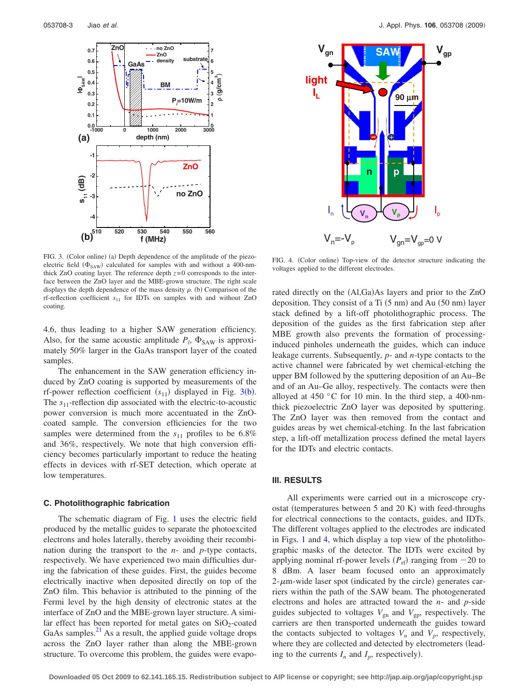<span id="page-2-0"></span>

<span id="page-2-1"></span>

FIG. 3. (Color online) (a) Depth dependence of the amplitude of the piezoelectric field  $(\Phi_{SAW})$  calculated for samples with and without a 400-nmthick  $ZnO$  coating layer. The reference depth  $z=0$  corresponds to the interface between the ZnO layer and the MBE-grown structure. The right scale displays the depth dependence of the mass density  $\rho$ . (b) Comparison of the rf-reflection coefficient  $s_{11}$  for IDTs on samples with and without ZnO coating.

4.6, thus leading to a higher SAW generation efficiency. Also, for the same acoustic amplitude  $P_l$ ,  $\Phi_{SAW}$  is approximately 50% larger in the GaAs transport layer of the coated samples.

The enhancement in the SAW generation efficiency induced by ZnO coating is supported by measurements of the rf-power reflection coefficient  $(s_{11})$  displayed in Fig. [3](#page-2-0)(b). The *s*<sub>11</sub>-reflection dip associated with the electric-to-acoustic power conversion is much more accentuated in the ZnOcoated sample. The conversion efficiencies for the two samples were determined from the  $s_{11}$  profiles to be 6.8% and 36%, respectively. We note that high conversion efficiency becomes particularly important to reduce the heating effects in devices with rf-SET detection, which operate at low temperatures.

#### **C. Photolithographic fabrication**

The schematic diagram of Fig. [1](#page-0-2) uses the electric field produced by the metallic guides to separate the photoexcited electrons and holes laterally, thereby avoiding their recombination during the transport to the *n*- and *p*-type contacts, respectively. We have experienced two main difficulties during the fabrication of these guides. First, the guides become electrically inactive when deposited directly on top of the ZnO film. This behavior is attributed to the pinning of the Fermi level by the high density of electronic states at the interface of ZnO and the MBE-grown layer structure. A similar effect has been reported for metal gates on  $SiO_2$ -coated GaAs samples. $^{21}$  As a result, the applied guide voltage drops across the ZnO layer rather than along the MBE-grown structure. To overcome this problem, the guides were evapo-

FIG. 4. (Color online) Top-view of the detector structure indicating the voltages applied to the different electrodes.

rated directly on the (Al,Ga)As layers and prior to the ZnO deposition. They consist of a Ti  $(5 \text{ nm})$  and Au  $(50 \text{ nm})$  layer stack defined by a lift-off photolithographic process. The deposition of the guides as the first fabrication step after MBE growth also prevents the formation of processinginduced pinholes underneath the guides, which can induce leakage currents. Subsequently, *p*- and *n*-type contacts to the active channel were fabricated by wet chemical-etching the upper BM followed by the sputtering deposition of an Au–Be and of an Au–Ge alloy, respectively. The contacts were then alloyed at 450 °C for 10 min. In the third step, a 400-nmthick piezoelectric ZnO layer was deposited by sputtering. The ZnO layer was then removed from the contact and guides areas by wet chemical-etching. In the last fabrication step, a lift-off metallization process defined the metal layers for the IDTs and electric contacts.

#### **III. RESULTS**

All experiments were carried out in a microscope cryostat (temperatures between 5 and 20 K) with feed-throughs for electrical connections to the contacts, guides, and IDTs. The different voltages applied to the electrodes are indicated in Figs. [1](#page-0-2) and [4,](#page-2-1) which display a top view of the photolithographic masks of the detector. The IDTs were excited by applying nominal rf-power levels  $(P_{\text{rf}})$  ranging from  $-20$  to 8 dBm. A laser beam focused onto an approximately  $2$ - $\mu$ m-wide laser spot (indicated by the circle) generates carriers within the path of the SAW beam. The photogenerated electrons and holes are attracted toward the *n*- and *p*-side guides subjected to voltages  $V_{\text{gn}}$  and  $V_{\text{gp}}$ , respectively. The carriers are then transported underneath the guides toward the contacts subjected to voltages  $V_n$  and  $V_p$ , respectively, where they are collected and detected by electrometers (leading to the currents  $I_n$  and  $I_p$ , respectively).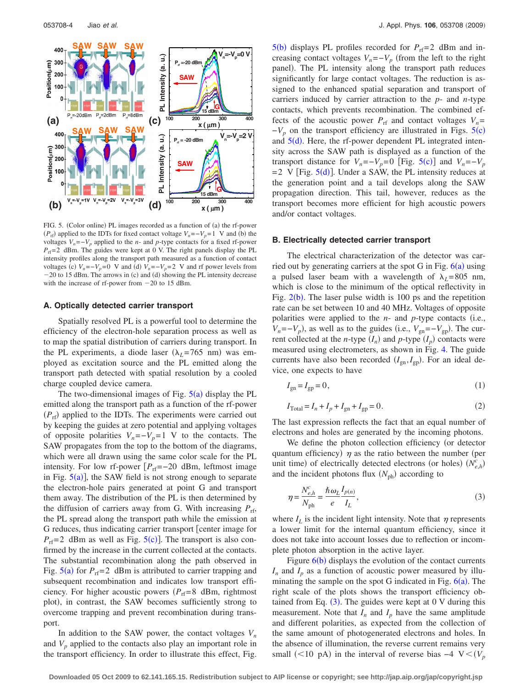<span id="page-3-0"></span>

FIG. 5. (Color online) PL images recorded as a function of (a) the rf-power  $(P_{\text{rf}})$  applied to the IDTs for fixed contact voltage  $V_n = -V_p = 1$  V and (b) the voltages  $V_n = -V_p$  applied to the *n*- and *p*-type contacts for a fixed rf-power  $P_{\text{rf}}$ = 2 dBm. The guides were kept at 0 V. The right panels display the PL intensity profiles along the transport path measured as a function of contact voltages (c)  $V_n = -V_p = 0$  V and (d)  $V_n = -V_p = 2$  V and rf power levels from  $-20$  to 15 dBm. The arrows in (c) and (d) showing the PL intensity decrease with the increase of rf-power from  $-20$  to 15 dBm.

## **A. Optically detected carrier transport**

Spatially resolved PL is a powerful tool to determine the efficiency of the electron-hole separation process as well as to map the spatial distribution of carriers during transport. In the PL experiments, a diode laser  $(\lambda_L = 765 \text{ nm})$  was employed as excitation source and the PL emitted along the transport path detected with spatial resolution by a cooled charge coupled device camera.

The two-dimensional images of Fig.  $5(a)$  $5(a)$  display the PL emitted along the transport path as a function of the rf-power ( $P_{\text{rf}}$ ) applied to the IDTs. The experiments were carried out by keeping the guides at zero potential and applying voltages of opposite polarities  $V_n = -V_p = 1$  V to the contacts. The SAW propagates from the top to the bottom of the diagrams, which were all drawn using the same color scale for the PL intensity. For low rf-power  $[P_{rf}=-20$  dBm, leftmost image in Fig.  $5(a)$  $5(a)$ , the SAW field is not strong enough to separate the electron-hole pairs generated at point G and transport them away. The distribution of the PL is then determined by the diffusion of carriers away from G. With increasing  $P_{rf}$ , the PL spread along the transport path while the emission at G reduces, thus indicating carrier transport [center image for  $P_{\text{rf}}$ =2 dBm as well as Fig. [5](#page-3-0)(c)]. The transport is also confirmed by the increase in the current collected at the contacts. The substantial recombination along the path observed in Fig.  $5(a)$  $5(a)$  for  $P_{rf} = 2$  dBm is attributed to carrier trapping and subsequent recombination and indicates low transport efficiency. For higher acoustic powers  $(P_{rf}=8$  dBm, rightmost plot), in contrast, the SAW becomes sufficiently strong to overcome trapping and prevent recombination during transport.

In addition to the SAW power, the contact voltages  $V_n$ and  $V_p$  applied to the contacts also play an important role in the transport efficiency. In order to illustrate this effect, Fig.

 $5(b)$  $5(b)$  displays PL profiles recorded for  $P_{\text{rf}}=2$  dBm and increasing contact voltages  $V_n = -V_p$  (from the left to the right panel). The PL intensity along the transport path reduces significantly for large contact voltages. The reduction is assigned to the enhanced spatial separation and transport of carriers induced by carrier attraction to the *p*- and *n*-type contacts, which prevents recombination. The combined effects of the acoustic power  $P_{\text{rf}}$  and contact voltages  $V_n$ =  $-V_p$  on the transport efficiency are illustrated in Figs. [5](#page-3-0)(c) and  $5(d)$  $5(d)$ . Here, the rf-power dependent PL integrated intensity across the SAW path is displayed as a function of the transport distance for  $V_n = -V_p = 0$  [Fig. [5](#page-3-0)(c)] and  $V_n = -V_p$  $=2$  V [Fig.  $5(d)$  $5(d)$ ]. Under a SAW, the PL intensity reduces at the generation point and a tail develops along the SAW propagation direction. This tail, however, reduces as the transport becomes more efficient for high acoustic powers and/or contact voltages.

#### **B. Electrically detected carrier transport**

The electrical characterization of the detector was carried out by generating carriers at the spot G in Fig.  $6(a)$  $6(a)$  using a pulsed laser beam with a wavelength of  $\lambda_L$ =805 nm, which is close to the minimum of the optical reflectivity in Fig.  $2(b)$  $2(b)$ . The laser pulse width is 100 ps and the repetition rate can be set between 10 and 40 MHz. Voltages of opposite polarities were applied to the  $n$ - and  $p$ -type contacts (i.e.,  $V_n = -V_p$ , as well as to the guides (i.e.,  $V_{\text{gn}} = -V_{\text{gp}}$ ). The current collected at the *n*-type  $(I_n)$  and *p*-type  $(I_p)$  contacts were measured using electrometers, as shown in Fig. [4.](#page-2-1) The guide currents have also been recorded  $(I_{\text{gn}}, I_{\text{gp}})$ . For an ideal device, one expects to have

$$
I_{\rm gn} = I_{\rm gp} = 0,\tag{1}
$$

$$
I_{\text{Total}} = I_n + I_p + I_{\text{gn}} + I_{\text{gp}} = 0. \tag{2}
$$

The last expression reflects the fact that an equal number of electrons and holes are generated by the incoming photons.

We define the photon collection efficiency (or detector quantum efficiency)  $\eta$  as the ratio between the number (per unit time) of electrically detected electrons (or holes)  $(N_{e,h}^c)$ and the incident photons flux  $(N_{ph})$  according to

<span id="page-3-1"></span>
$$
\eta = \frac{N_{e,h}^c}{N_{\text{ph}}} = \frac{\hbar \omega_L I_{p(n)}}{e I_L},\tag{3}
$$

where  $I_L$  is the incident light intensity. Note that  $\eta$  represents a lower limit for the internal quantum efficiency, since it does not take into account losses due to reflection or incomplete photon absorption in the active layer.

Figure  $6(b)$  $6(b)$  displays the evolution of the contact currents  $I_n$  and  $I_p$  as a function of acoustic power measured by illuminating the sample on the spot G indicated in Fig.  $6(a)$  $6(a)$ . The right scale of the plots shows the transport efficiency obtained from Eq.  $(3)$  $(3)$  $(3)$ . The guides were kept at 0 V during this measurement. Note that  $I_n$  and  $I_p$  have the same amplitude and different polarities, as expected from the collection of the same amount of photogenerated electrons and holes. In the absence of illumination, the reverse current remains very small (<10 pA) in the interval of reverse bias  $-4$  V <  $(V_p)$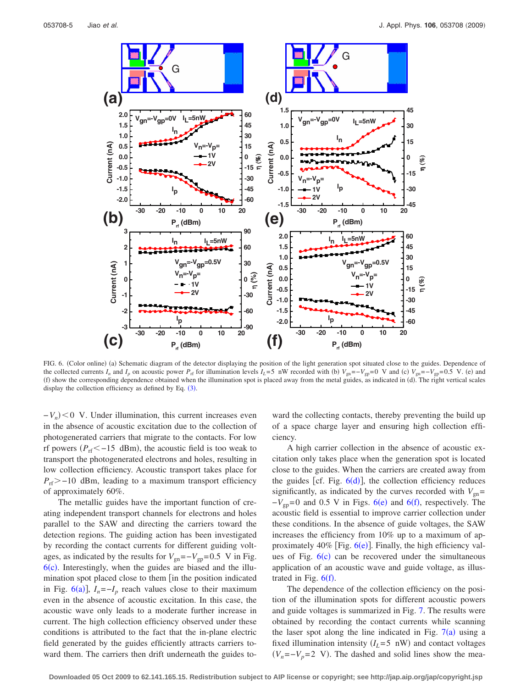<span id="page-4-0"></span>

FIG. 6. (Color online) (a) Schematic diagram of the detector displaying the position of the light generation spot situated close to the guides. Dependence of the collected currents *I<sub>n</sub>* and *I<sub>p</sub>* on acoustic power  $P_{\text{rf}}$  for illumination levels *I<sub>L</sub>*=5 nW recorded with (b)  $V_{\text{gn}} = -V_{\text{gp}} = 0$  V and (c)  $V_{\text{gn}} = -V_{\text{gp}} = 0.5$  V. (e) and (f) show the corresponding dependence obtained when the illumination spot is placed away from the metal guides, as indicated in (d). The right vertical scales display the collection efficiency as defined by Eq.  $(3)$  $(3)$  $(3)$ .

 $-V_n$   $\leq 0$  V. Under illumination, this current increases even in the absence of acoustic excitation due to the collection of photogenerated carriers that migrate to the contacts. For low rf powers  $(P_{\text{rf}} < -15 \text{ dBm})$ , the acoustic field is too weak to transport the photogenerated electrons and holes, resulting in low collection efficiency. Acoustic transport takes place for  $P_{\text{rf}}$  > -10 dBm, leading to a maximum transport efficiency of approximately 60%.

The metallic guides have the important function of creating independent transport channels for electrons and holes parallel to the SAW and directing the carriers toward the detection regions. The guiding action has been investigated by recording the contact currents for different guiding voltages, as indicated by the results for  $V_{\text{gn}}$ = $-V_{\text{gp}}$ =0.5 V in Fig.  $6(c)$  $6(c)$ . Interestingly, when the guides are biased and the illumination spot placed close to them [in the position indicated in Fig.  $6(a)$  $6(a)$ ],  $I_n = -I_p$  reach values close to their maximum even in the absence of acoustic excitation. In this case, the acoustic wave only leads to a moderate further increase in current. The high collection efficiency observed under these conditions is attributed to the fact that the in-plane electric field generated by the guides efficiently attracts carriers toward them. The carriers then drift underneath the guides toward the collecting contacts, thereby preventing the build up of a space charge layer and ensuring high collection efficiency.

A high carrier collection in the absence of acoustic excitation only takes place when the generation spot is located close to the guides. When the carriers are created away from the guides [cf. Fig.  $6(d)$  $6(d)$ ], the collection efficiency reduces significantly, as indicated by the curves recorded with  $V_{gn}$ =  $-V_{gp} = 0$  and 0.5 V in Figs. [6](#page-4-0)(e) and 6(f), respectively. The acoustic field is essential to improve carrier collection under these conditions. In the absence of guide voltages, the SAW increases the efficiency from 10% up to a maximum of approximately  $40\%$  [Fig.  $6(e)$  $6(e)$ ]. Finally, the high efficiency values of Fig.  $6(c)$  $6(c)$  can be recovered under the simultaneous application of an acoustic wave and guide voltage, as illustrated in Fig.  $6(f)$  $6(f)$ .

The dependence of the collection efficiency on the position of the illumination spots for different acoustic powers and guide voltages is summarized in Fig. [7.](#page-5-0) The results were obtained by recording the contact currents while scanning the laser spot along the line indicated in Fig.  $7(a)$  $7(a)$  using a fixed illumination intensity  $(I_L = 5 \text{ nW})$  and contact voltages  $(V_n = -V_p = 2$  V). The dashed and solid lines show the mea-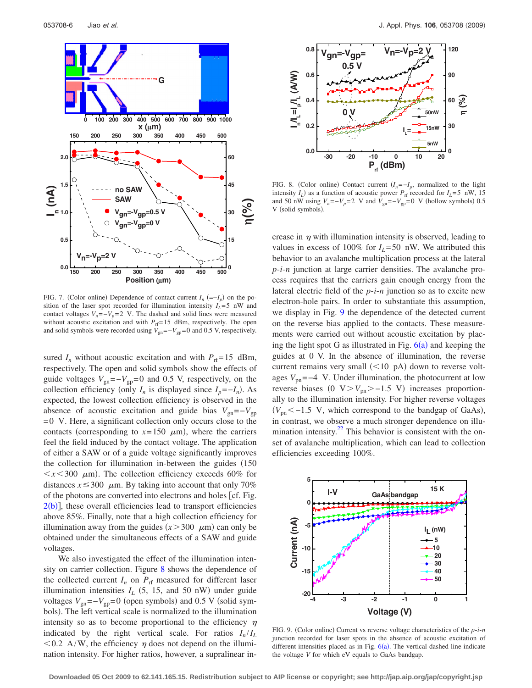<span id="page-5-0"></span>

FIG. 7. (Color online) Dependence of contact current  $I_n$   $(= -I_p)$  on the position of the laser spot recorded for illumination intensity  $I_L = 5$  nW and contact voltages  $V_n = -V_p = 2$  V. The dashed and solid lines were measured without acoustic excitation and with  $P_{\text{rf}}= 15$  dBm, respectively. The open and solid symbols were recorded using  $V_{\text{gn}}$ = $-V_{\text{gp}}$ =0 and 0.5 V, respectively.

sured  $I_n$  without acoustic excitation and with  $P_{\text{rf}} = 15$  dBm, respectively. The open and solid symbols show the effects of guide voltages  $V_{\text{gn}}$ = $-V_{\text{gp}}$ =0 and 0.5 V, respectively, on the collection efficiency (only  $I_n$  is displayed since  $I_p = -I_n$ ). As expected, the lowest collection efficiency is observed in the absence of acoustic excitation and guide bias  $V_{\text{gn}}=-V_{\text{gp}}$  $= 0$  V. Here, a significant collection only occurs close to the contacts (corresponding to  $x=150 \mu m$ ), where the carriers feel the field induced by the contact voltage. The application of either a SAW or of a guide voltage significantly improves the collection for illumination in-between the guides (150  $\langle x \times 300 \mu m \rangle$ . The collection efficiency exceeds 60% for distances  $x \le 300 \mu$ m. By taking into account that only 70% of the photons are converted into electrons and holes  $[cf. Fig.$  $2(b)$  $2(b)$ ], these overall efficiencies lead to transport efficiencies above 85%. Finally, note that a high collection efficiency for illumination away from the guides  $(x > 300 \mu m)$  can only be obtained under the simultaneous effects of a SAW and guide voltages.

We also investigated the effect of the illumination intensity on carrier collection. Figure [8](#page-5-1) shows the dependence of the collected current  $I_n$  on  $P_{\text{rf}}$  measured for different laser illumination intensities  $I_L$  (5, 15, and 50 nW) under guide voltages  $V_{\text{gn}} = -V_{\text{gp}} = 0$  (open symbols) and 0.5 V (solid symbols). The left vertical scale is normalized to the illumination intensity so as to become proportional to the efficiency  $\eta$ indicated by the right vertical scale. For ratios  $I_n/I_L$  $0.2$  A/W, the efficiency  $\eta$  does not depend on the illumination intensity. For higher ratios, however, a supralinear in-

<span id="page-5-1"></span>

FIG. 8. (Color online) Contact current  $(I_n = -I_p$ , normalized to the light intensity  $I_L$ ) as a function of acoustic power  $P_{\text{rf}}$  recorded for  $I_L$ =5 nW, 15 and 50 nW using  $V_n = -V_p = 2$  V and  $V_{gn} = -V_{gp} = 0$  V (hollow symbols) 0.5 V (solid symbols).

crease in  $\eta$  with illumination intensity is observed, leading to values in excess of 100% for  $I_L$ =50 nW. We attributed this behavior to an avalanche multiplication process at the lateral *p*-*i*-*n* junction at large carrier densities. The avalanche process requires that the carriers gain enough energy from the lateral electric field of the *p*-*i*-*n* junction so as to excite new electron-hole pairs. In order to substantiate this assumption, we display in Fig. [9](#page-5-2) the dependence of the detected current on the reverse bias applied to the contacts. These measurements were carried out without acoustic excitation by placing the light spot G as illustrated in Fig.  $6(a)$  $6(a)$  and keeping the guides at 0 V. In the absence of illumination, the reverse current remains very small  $(<10$  pA) down to reverse voltages  $V_{\text{pn}}$ =−4 V. Under illumination, the photocurrent at low reverse biases  $(0 \text{ V} > V_{\text{pn}} > -1.5 \text{ V})$  increases proportionally to the illumination intensity. For higher reverse voltages  $(V_{\text{pn}} < -1.5 \text{ V}$ , which correspond to the bandgap of GaAs), in contrast, we observe a much stronger dependence on illumination intensity. $22$  This behavior is consistent with the onset of avalanche multiplication, which can lead to collection efficiencies exceeding 100%.

<span id="page-5-2"></span>

FIG. 9. (Color online) Current vs reverse voltage characteristics of the  $p$ -*i*- $n$ junction recorded for laser spots in the absence of acoustic excitation of different intensities placed as in Fig.  $6(a)$  $6(a)$ . The vertical dashed line indicate the voltage *V* for which eV equals to GaAs bandgap.